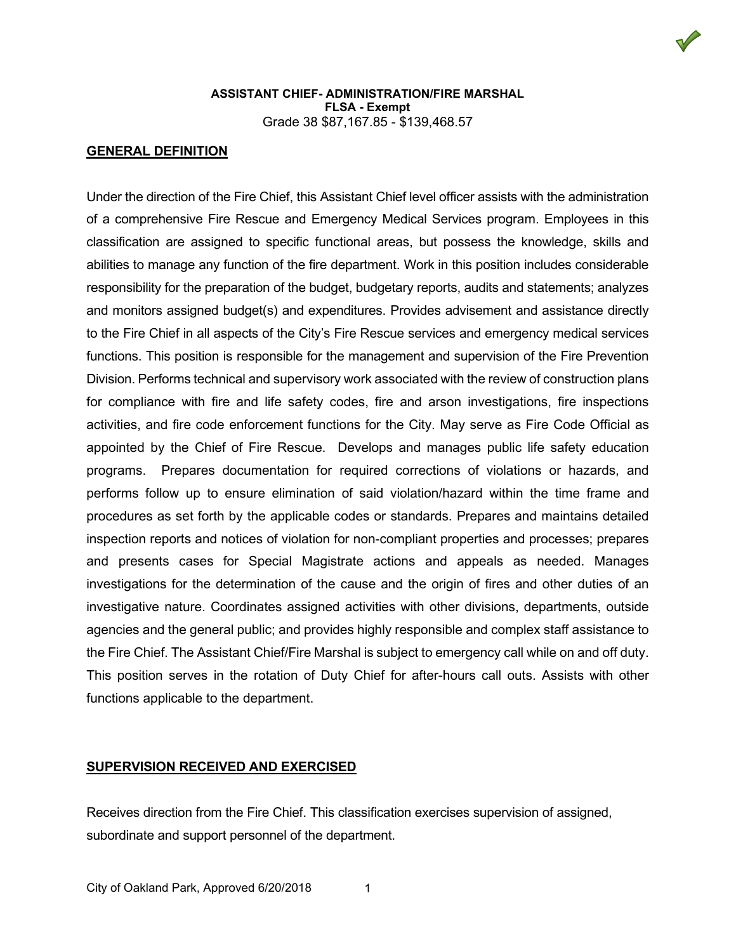

#### **GENERAL DEFINITION**

Under the direction of the Fire Chief, this Assistant Chief level officer assists with the administration of a comprehensive Fire Rescue and Emergency Medical Services program. Employees in this classification are assigned to specific functional areas, but possess the knowledge, skills and abilities to manage any function of the fire department. Work in this position includes considerable responsibility for the preparation of the budget, budgetary reports, audits and statements; analyzes and monitors assigned budget(s) and expenditures. Provides advisement and assistance directly to the Fire Chief in all aspects of the City's Fire Rescue services and emergency medical services functions. This position is responsible for the management and supervision of the Fire Prevention Division. Performs technical and supervisory work associated with the review of construction plans for compliance with fire and life safety codes, fire and arson investigations, fire inspections activities, and fire code enforcement functions for the City. May serve as Fire Code Official as appointed by the Chief of Fire Rescue. Develops and manages public life safety education programs. Prepares documentation for required corrections of violations or hazards, and performs follow up to ensure elimination of said violation/hazard within the time frame and procedures as set forth by the applicable codes or standards. Prepares and maintains detailed inspection reports and notices of violation for non-compliant properties and processes; prepares and presents cases for Special Magistrate actions and appeals as needed. Manages investigations for the determination of the cause and the origin of fires and other duties of an investigative nature. Coordinates assigned activities with other divisions, departments, outside agencies and the general public; and provides highly responsible and complex staff assistance to the Fire Chief. The Assistant Chief/Fire Marshal is subject to emergency call while on and off duty. This position serves in the rotation of Duty Chief for after-hours call outs. Assists with other functions applicable to the department.

#### **SUPERVISION RECEIVED AND EXERCISED**

Receives direction from the Fire Chief. This classification exercises supervision of assigned, subordinate and support personnel of the department.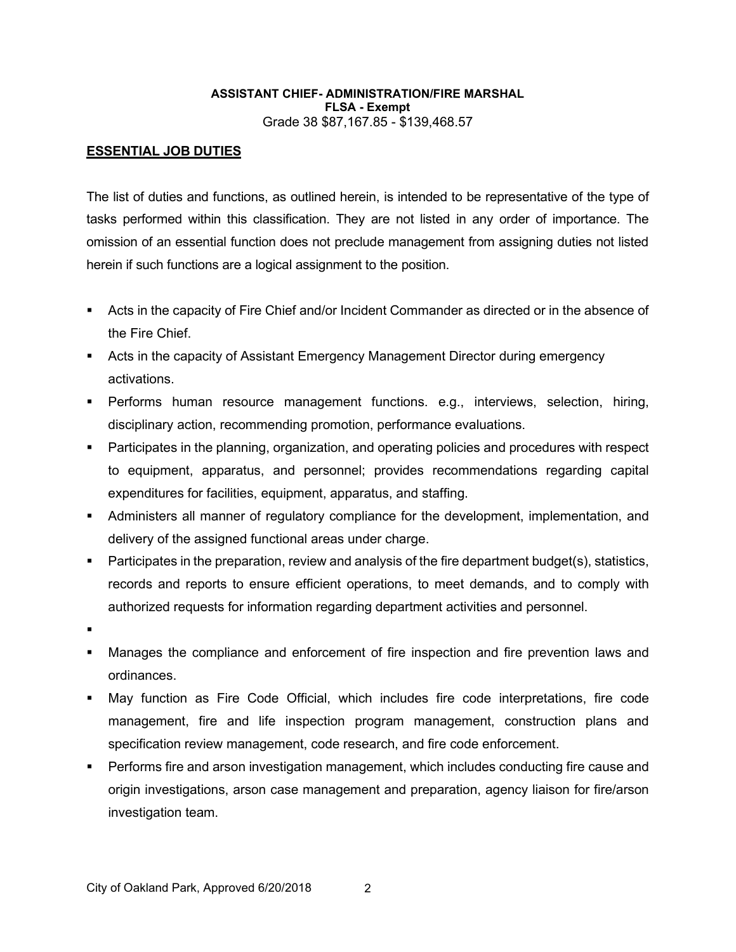## **ESSENTIAL JOB DUTIES**

The list of duties and functions, as outlined herein, is intended to be representative of the type of tasks performed within this classification. They are not listed in any order of importance. The omission of an essential function does not preclude management from assigning duties not listed herein if such functions are a logical assignment to the position.

- Acts in the capacity of Fire Chief and/or Incident Commander as directed or in the absence of the Fire Chief.
- **EXTER 15 Acts in the capacity of Assistant Emergency Management Director during emergency** activations.
- Performs human resource management functions. e.g., interviews, selection, hiring, disciplinary action, recommending promotion, performance evaluations.
- Participates in the planning, organization, and operating policies and procedures with respect to equipment, apparatus, and personnel; provides recommendations regarding capital expenditures for facilities, equipment, apparatus, and staffing.
- Administers all manner of regulatory compliance for the development, implementation, and delivery of the assigned functional areas under charge.
- Participates in the preparation, review and analysis of the fire department budget(s), statistics, records and reports to ensure efficient operations, to meet demands, and to comply with authorized requests for information regarding department activities and personnel.
- .
- Manages the compliance and enforcement of fire inspection and fire prevention laws and ordinances.
- May function as Fire Code Official, which includes fire code interpretations, fire code management, fire and life inspection program management, construction plans and specification review management, code research, and fire code enforcement.
- Performs fire and arson investigation management, which includes conducting fire cause and origin investigations, arson case management and preparation, agency liaison for fire/arson investigation team.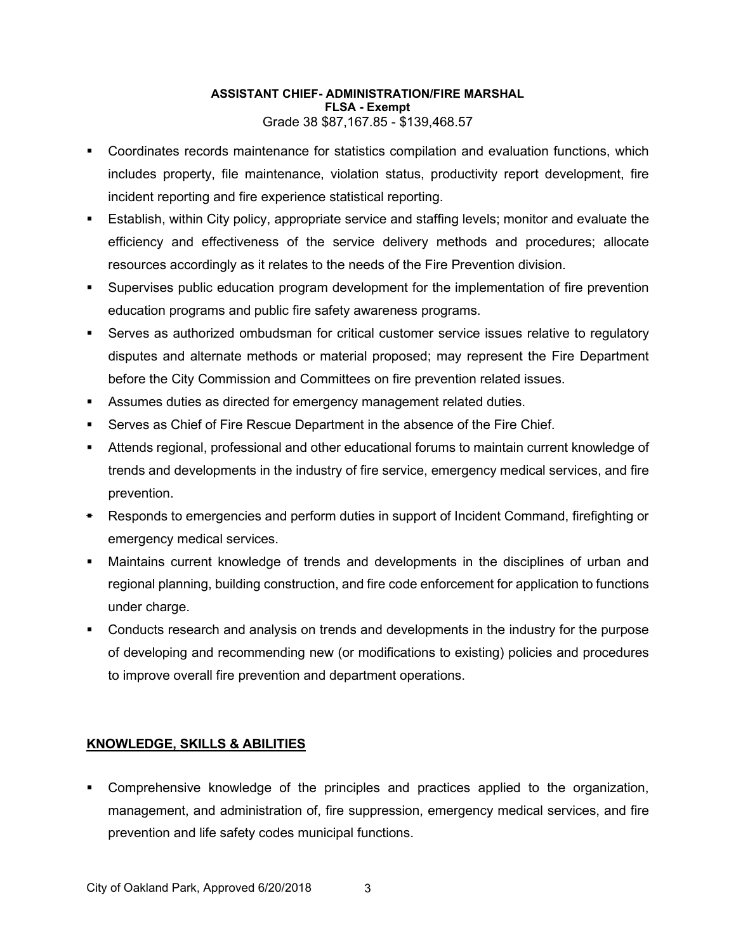- Coordinates records maintenance for statistics compilation and evaluation functions, which includes property, file maintenance, violation status, productivity report development, fire incident reporting and fire experience statistical reporting.
- Establish, within City policy, appropriate service and staffing levels; monitor and evaluate the efficiency and effectiveness of the service delivery methods and procedures; allocate resources accordingly as it relates to the needs of the Fire Prevention division.
- Supervises public education program development for the implementation of fire prevention education programs and public fire safety awareness programs.
- Serves as authorized ombudsman for critical customer service issues relative to regulatory disputes and alternate methods or material proposed; may represent the Fire Department before the City Commission and Committees on fire prevention related issues.
- Assumes duties as directed for emergency management related duties.
- Serves as Chief of Fire Rescue Department in the absence of the Fire Chief.
- Attends regional, professional and other educational forums to maintain current knowledge of trends and developments in the industry of fire service, emergency medical services, and fire prevention.
- Responds to emergencies and perform duties in support of Incident Command, firefighting or emergency medical services.
- Maintains current knowledge of trends and developments in the disciplines of urban and regional planning, building construction, and fire code enforcement for application to functions under charge.
- Conducts research and analysis on trends and developments in the industry for the purpose of developing and recommending new (or modifications to existing) policies and procedures to improve overall fire prevention and department operations.

## **KNOWLEDGE, SKILLS & ABILITIES**

 Comprehensive knowledge of the principles and practices applied to the organization, management, and administration of, fire suppression, emergency medical services, and fire prevention and life safety codes municipal functions.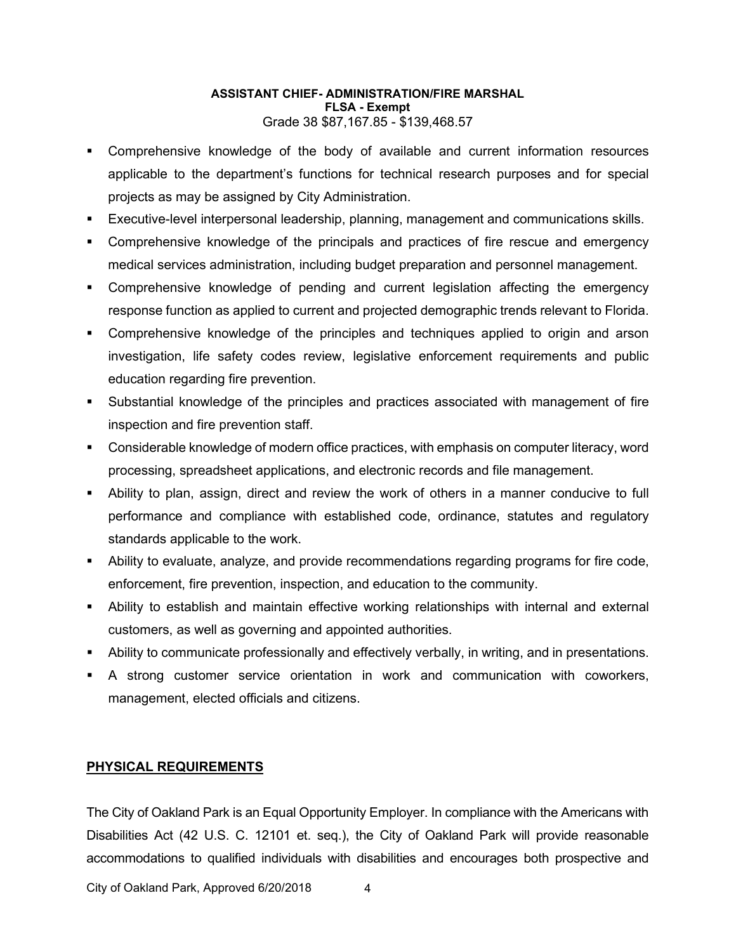- Comprehensive knowledge of the body of available and current information resources applicable to the department's functions for technical research purposes and for special projects as may be assigned by City Administration.
- Executive-level interpersonal leadership, planning, management and communications skills.
- Comprehensive knowledge of the principals and practices of fire rescue and emergency medical services administration, including budget preparation and personnel management.
- Comprehensive knowledge of pending and current legislation affecting the emergency response function as applied to current and projected demographic trends relevant to Florida.
- Comprehensive knowledge of the principles and techniques applied to origin and arson investigation, life safety codes review, legislative enforcement requirements and public education regarding fire prevention.
- Substantial knowledge of the principles and practices associated with management of fire inspection and fire prevention staff.
- Considerable knowledge of modern office practices, with emphasis on computer literacy, word processing, spreadsheet applications, and electronic records and file management.
- Ability to plan, assign, direct and review the work of others in a manner conducive to full performance and compliance with established code, ordinance, statutes and regulatory standards applicable to the work.
- Ability to evaluate, analyze, and provide recommendations regarding programs for fire code, enforcement, fire prevention, inspection, and education to the community.
- Ability to establish and maintain effective working relationships with internal and external customers, as well as governing and appointed authorities.
- Ability to communicate professionally and effectively verbally, in writing, and in presentations.
- A strong customer service orientation in work and communication with coworkers, management, elected officials and citizens.

### **PHYSICAL REQUIREMENTS**

The City of Oakland Park is an Equal Opportunity Employer. In compliance with the Americans with Disabilities Act (42 U.S. C. 12101 et. seq.), the City of Oakland Park will provide reasonable accommodations to qualified individuals with disabilities and encourages both prospective and

City of Oakland Park, Approved 6/20/2018 4